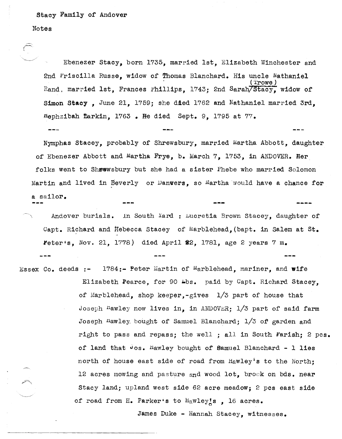## Stacy Family of Andover

## Notes

Ebenezer Stacy, born 1735, married 1st, Elizabeth Winchester and 2nd Priscilla Russe, widow of Thomas Blanchard. His uncle Nathaniel ( 'l'rowe ) Rand, married 1st, Frances Phillips, 1743; 2nd Sarah/Stacy, widow of Simon Stacy, June 21, 1759; she died 1762 and Nathaniel married 3rd, tlephzibah tarkin, 1763 • He died Sept. 9, 1795 at 77.

Nymphas Stacey, probably of Shrewsbury, married Martha Abbott, daughter of Ebenezer Abbott and Martha Frye, b. March 7, 1753, in ANDOVER. Her folks went to Shewsbury but she had a sister Phebe who married Solomon Martin and lived in Beverly or Danvers, so Martha would have a chance for a sailor.

Andover burials. In South Yard : Lucretia Brown Stacey, daughter of Capt. Richard and Rebecca Stacey of Marblehead. (bapt. in Salem at St. ~eteris, Nov. 21, 1778) died April *B2,* 1781, age 2 years 7 m.

Essex Co. deeds :- 1784:- Peter Martin of Marblehead, mariner, and wife Elizabeth Pearce, for 90 Lbs. paid by Capt. Richard Stacey, of Marblehead, shop keeper,-gives  $1/3$  part of house that Joseph Hawley now lives in, in ANDOVER;  $1/3$  part of said farm Joseph Hawley bought of Samuel Blanchard; 1/3 of garden and right to pass and repass; the well ; all in South Farish; 2 pcs. of land that  $\log_{10}$  hawley bought of Samuel Blanchard - 1 lies north of house east side of road from  $\text{Hawley's}$  to the North; 12 acres mowing and pasture and wood lot, brock on bds. near Stacy land; upland west side 62 acre meadow; 2 pcs east side of road from H. Parker's to  $H_2wley_s$ , 16 acres.

James Duke - Hannah Stacey, witnesses.